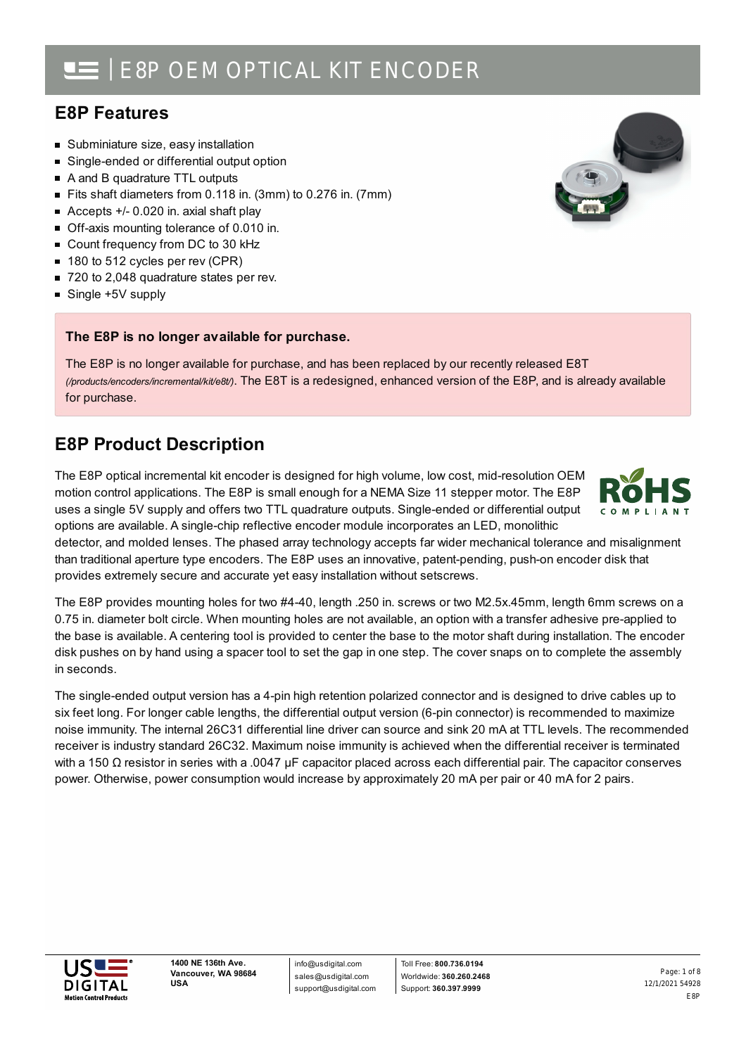# **E8P Features**

- **Subminiature size, easy installation**
- $\blacksquare$ Single-ended or differential output option
- A and B quadrature TTL outputs
- Fits shaft diameters from 0.118 in. (3mm) to 0.276 in. (7mm)
- Accepts +/- 0.020 in. axial shaft play
- Off-axis mounting tolerance of 0.010 in.
- Count frequency from DC to 30 kHz
- 180 to 512 cycles per rev (CPR)
- 720 to 2,048 quadrature states per rev.
- Single +5V supply

## **The E8P is no longer available for purchase.**

The E8P is no longer available for purchase, and has been replaced by our recently released E8T *(/products/encoders/incremental/kit/e8t/)*. The E8T is a redesigned, enhanced version of the E8P, and is already available for purchase.

# **E8P Product Description**

The E8P optical incremental kit encoder is designed for high volume, low cost, mid-resolution OEM motion control applications. The E8P is small enough for a NEMA Size 11 stepper motor. The E8P uses a single 5V supply and offers two TTL quadrature outputs. Single-ended or differential output options are available. A single-chip reflective encoder module incorporates an LED, monolithic

detector, and molded lenses. The phased array technology accepts far wider mechanical tolerance and misalignment than traditional aperture type encoders. The E8P uses an innovative, patent-pending, push-on encoder disk that provides extremely secure and accurate yet easy installation without setscrews.

The E8P provides mounting holes for two #4-40, length .250 in. screws or two M2.5x.45mm, length 6mm screws on a 0.75 in. diameter bolt circle. When mounting holes are not available, an option with a transfer adhesive pre-applied to the base is available. A centering tool is provided to center the base to the motor shaft during installation. The encoder disk pushes on by hand using a spacer tool to set the gap in one step. The cover snaps on to complete the assembly in seconds.

The single-ended output version has a 4-pin high retention polarized connector and is designed to drive cables up to six feet long. For longer cable lengths, the differential output version (6-pin connector) is recommended to maximize noise immunity. The internal 26C31 differential line driver can source and sink 20 mA at TTL levels. The recommended receiver is industry standard 26C32. Maximum noise immunity is achieved when the differential receiver is terminated with a 150 Ω resistor in series with a .0047 µF capacitor placed across each differential pair. The capacitor conserves power. Otherwise, power consumption would increase by approximately 20 mA per pair or 40 mA for 2 pairs.



info@usdigital.com sales@usdigital.com support@usdigital.com

Toll Free: **800.736.0194** Worldwide: **360.260.2468** Support: **360.397.9999**

12/1/2021 54928 E8P Page: 1 of 8



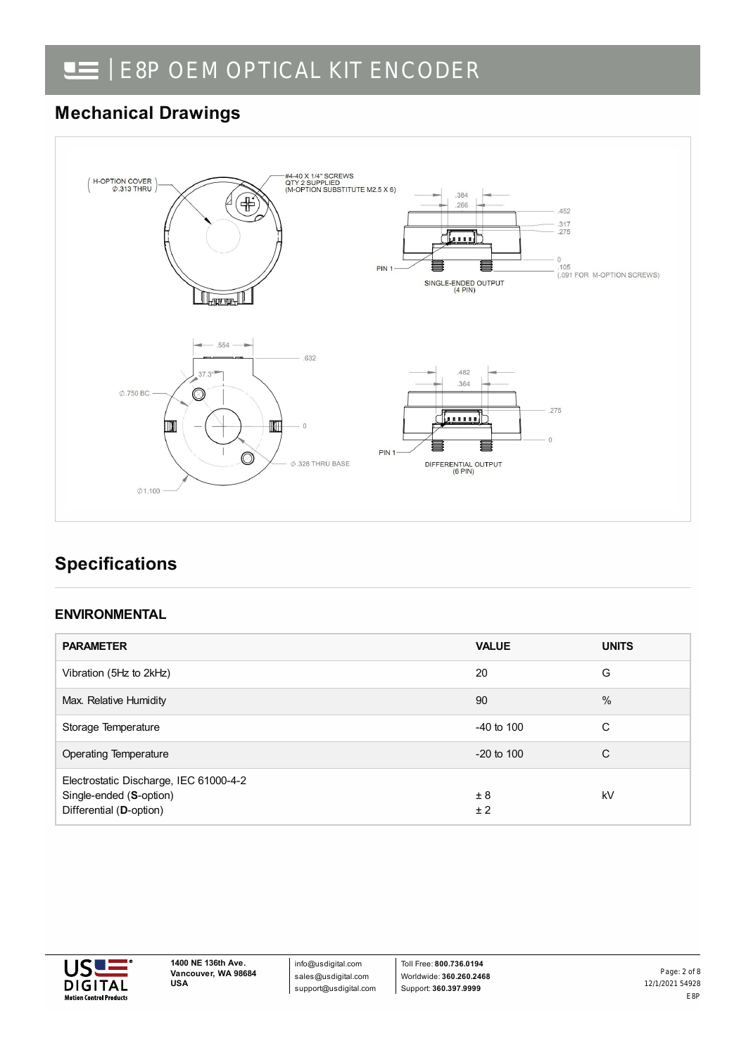# **Mechanical Drawings**



# **Specifications**

## **ENVIRONMENTAL**

| <b>PARAMETER</b>                                                                             | <b>VALUE</b>   | <b>UNITS</b> |
|----------------------------------------------------------------------------------------------|----------------|--------------|
| Vibration (5Hz to 2kHz)                                                                      | 20             | G            |
| Max. Relative Humidity                                                                       | 90             | $\%$         |
| Storage Temperature                                                                          | $-40$ to $100$ | С            |
| Operating Temperature                                                                        | $-20$ to $100$ | C            |
| Electrostatic Discharge, IEC 61000-4-2<br>Single-ended (S-option)<br>Differential (D-option) | ± 8<br>±2      | kV           |



info@usdigital.com sales@usdigital.com support@usdigital.com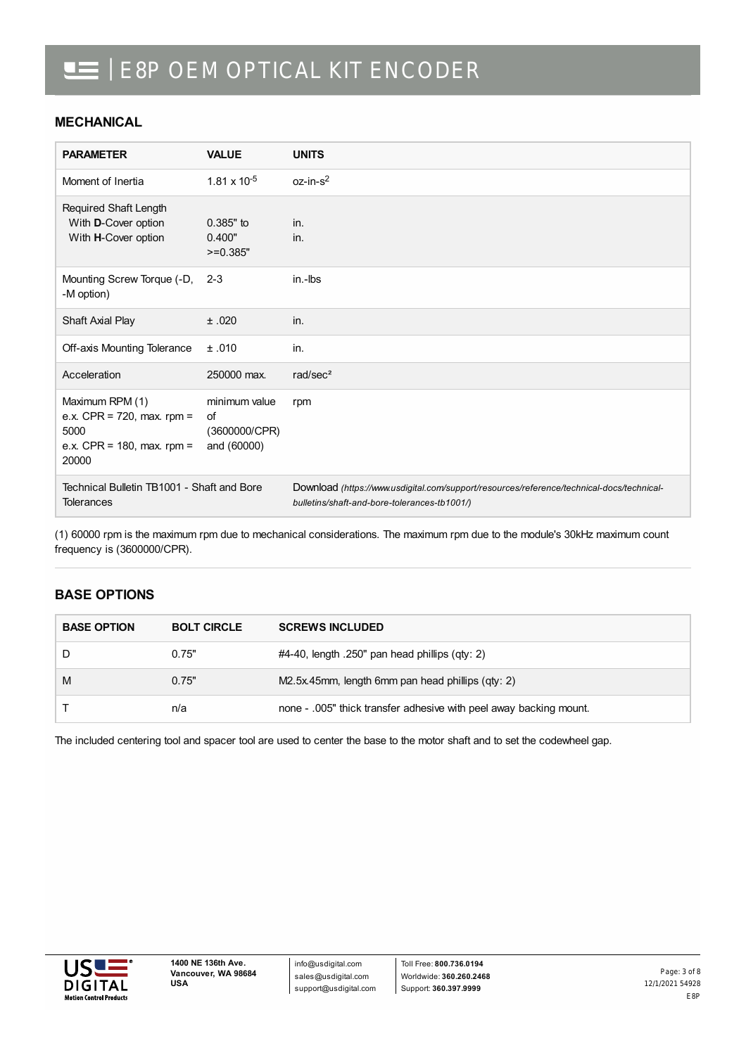### **MECHANICAL**

| <b>PARAMETER</b>                                                                                | <b>VALUE</b>                                        | <b>UNITS</b>                                                                                                                              |
|-------------------------------------------------------------------------------------------------|-----------------------------------------------------|-------------------------------------------------------------------------------------------------------------------------------------------|
| Moment of Inertia                                                                               | $1.81 \times 10^{-5}$                               | $oz-in-s2$                                                                                                                                |
| Required Shaft Length<br>With D-Cover option<br>With H-Cover option                             | $0.385"$ to<br>0.400"<br>$>=0.385"$                 | in.<br>in.                                                                                                                                |
| Mounting Screw Torque (-D,<br>-M option)                                                        | $2 - 3$                                             | in.-Ibs                                                                                                                                   |
| Shaft Axial Play                                                                                | ±.020                                               | in.                                                                                                                                       |
| Off-axis Mounting Tolerance                                                                     | ±.010                                               | in.                                                                                                                                       |
| Acceleration                                                                                    | 250000 max.                                         | rad/sec $2$                                                                                                                               |
| Maximum RPM (1)<br>e.x. CPR = $720$ , max. rpm =<br>5000<br>e.x. CPR = 180, max. rpm =<br>20000 | minimum value<br>of<br>(3600000/CPR)<br>and (60000) | rpm                                                                                                                                       |
| Technical Bulletin TB1001 - Shaft and Bore<br><b>Tolerances</b>                                 |                                                     | Download (https://www.usdigital.com/support/resources/reference/technical-docs/technical-<br>bulletins/shaft-and-bore-tolerances-tb1001/) |

(1) 60000 rpm is the maximum rpm due to mechanical considerations. The maximum rpm due to the module's 30kHz maximum count frequency is (3600000/CPR).

## **BASE OPTIONS**

| <b>BASE OPTION</b> | <b>BOLT CIRCLE</b> | <b>SCREWS INCLUDED</b>                                             |  |
|--------------------|--------------------|--------------------------------------------------------------------|--|
|                    | 0.75"              | $#4-40$ , length .250" pan head phillips (qty: 2)                  |  |
| M                  | 0.75"              | M2.5x.45mm, length 6mm pan head phillips (qty: 2)                  |  |
|                    | n/a                | none - .005" thick transfer adhesive with peel away backing mount. |  |

The included centering tool and spacer tool are used to center the base to the motor shaft and to set the codewheel gap.

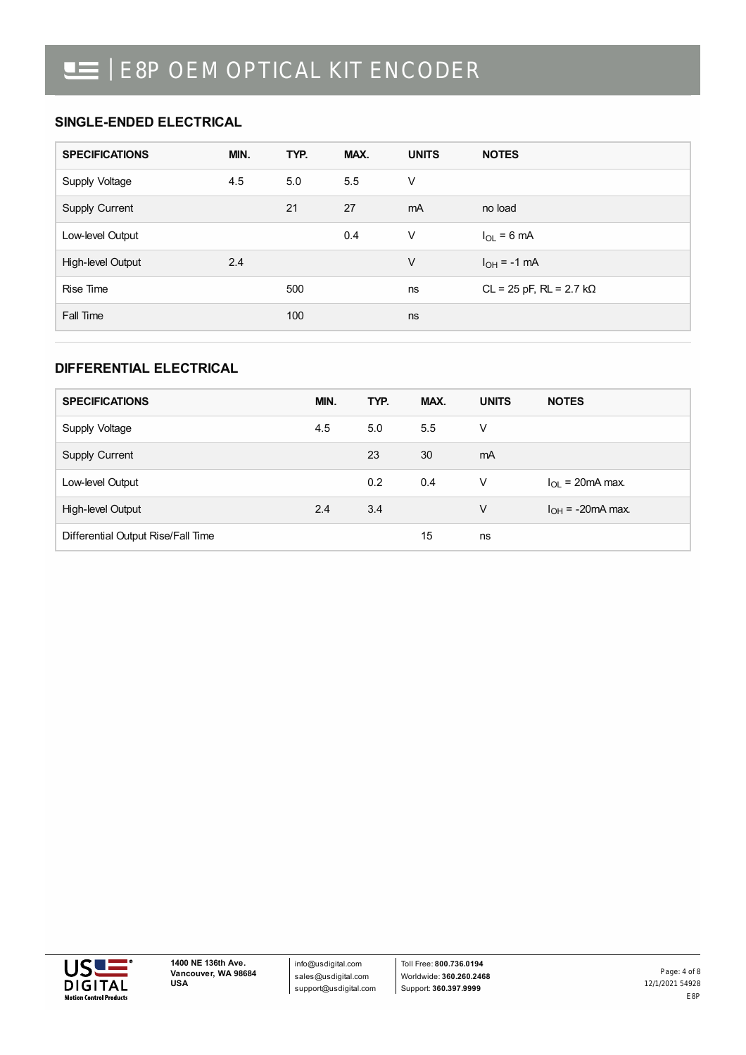## **SINGLE-ENDED ELECTRICAL**

| <b>SPECIFICATIONS</b> | MIN. | TYP. | MAX. | <b>UNITS</b> | <b>NOTES</b>                        |
|-----------------------|------|------|------|--------------|-------------------------------------|
| Supply Voltage        | 4.5  | 5.0  | 5.5  | V            |                                     |
| Supply Current        |      | 21   | 27   | mA           | no load                             |
| Low-level Output      |      |      | 0.4  | $\vee$       | $I_{OL}$ = 6 mA                     |
| High-level Output     | 2.4  |      |      | $\vee$       | $I_{OH} = -1$ mA                    |
| Rise Time             |      | 500  |      | ns           | $CL = 25$ pF, $RL = 2.7$ k $\Omega$ |
| Fall Time             |      | 100  |      | ns           |                                     |

## **DIFFERENTIAL ELECTRICAL**

| <b>SPECIFICATIONS</b>              | MIN. | TYP.          | MAX. | <b>UNITS</b> | <b>NOTES</b>              |
|------------------------------------|------|---------------|------|--------------|---------------------------|
| Supply Voltage                     | 4.5  | 5.0           | 5.5  | V            |                           |
| Supply Current                     |      | 23            | 30   | mA           |                           |
| Low-level Output                   |      | $0.2^{\circ}$ | 0.4  | V            | $I_{\Omega}$ = 20 mA max. |
| High-level Output                  | 2.4  | 3.4           |      | V            | $I_{OH}$ = -20mA max.     |
| Differential Output Rise/Fall Time |      |               | 15   | ns           |                           |

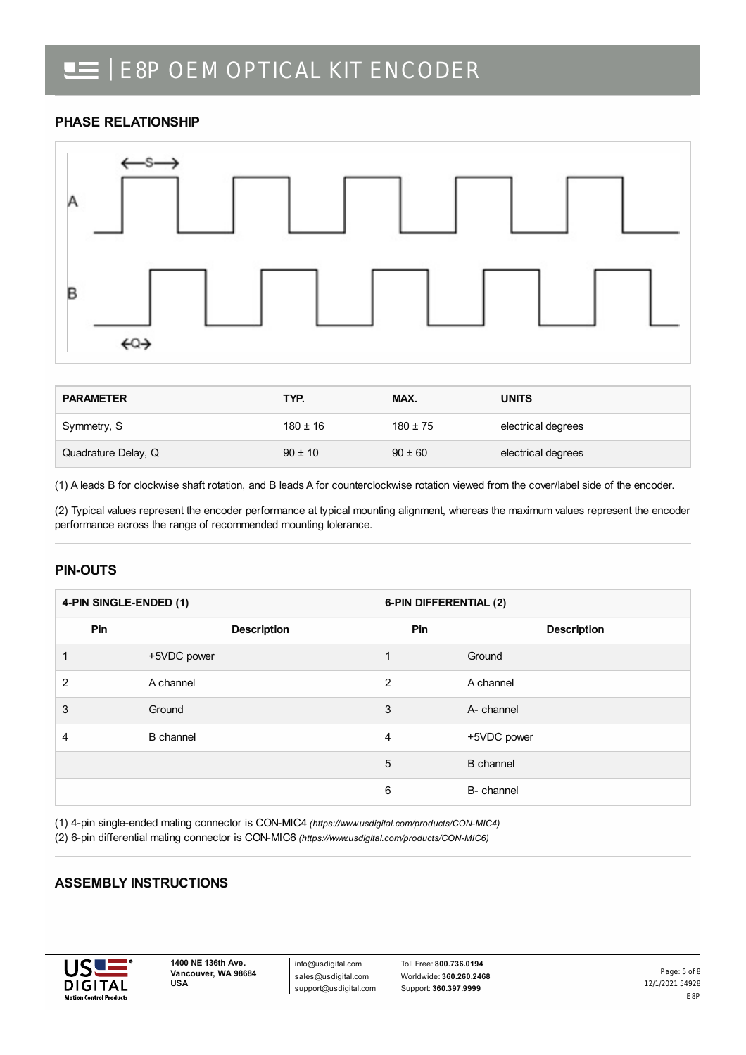## **PHASE RELATIONSHIP**



| <b>PARAMETER</b>    | TYP.         | MAX.         | <b>UNITS</b>       |
|---------------------|--------------|--------------|--------------------|
| Symmetry, S         | $180 \pm 16$ | $180 \pm 75$ | electrical degrees |
| Quadrature Delay, Q | $90 \pm 10$  | $90 \pm 60$  | electrical degrees |

(1) A leads B for clockwise shaft rotation, and B leads A for counterclockwise rotation viewed from the cover/label side of the encoder.

(2) Typical values represent the encoder performance at typical mounting alignment, whereas the maximum values represent the encoder performance across the range of recommended mounting tolerance.

## **PIN-OUTS**

| 4-PIN SINGLE-ENDED (1) |     |                    | 6-PIN DIFFERENTIAL (2) |                    |  |
|------------------------|-----|--------------------|------------------------|--------------------|--|
|                        | Pin | <b>Description</b> | Pin                    | <b>Description</b> |  |
|                        |     | +5VDC power        | 1                      | Ground             |  |
| $\overline{2}$         |     | A channel          | $\mathfrak{p}$         | A channel          |  |
| 3                      |     | Ground             | 3                      | A- channel         |  |
| $\overline{4}$         |     | <b>B</b> channel   | 4                      | +5VDC power        |  |
|                        |     |                    | 5                      | <b>B</b> channel   |  |
|                        |     |                    | 6                      | B- channel         |  |

(1) 4-pin single-ended mating connector is CON-MIC4 *[\(https://www.usdigital.com/products/CON-MIC4\)](https://www.usdigital.com/products/CON-MIC4)*

(2) 6-pin differential mating connector is CON-MIC6 *[\(https://www.usdigital.com/products/CON-MIC6\)](https://www.usdigital.com/products/CON-MIC6)*

## **ASSEMBLY INSTRUCTIONS**



info@usdigital.com sales@usdigital.com support@usdigital.com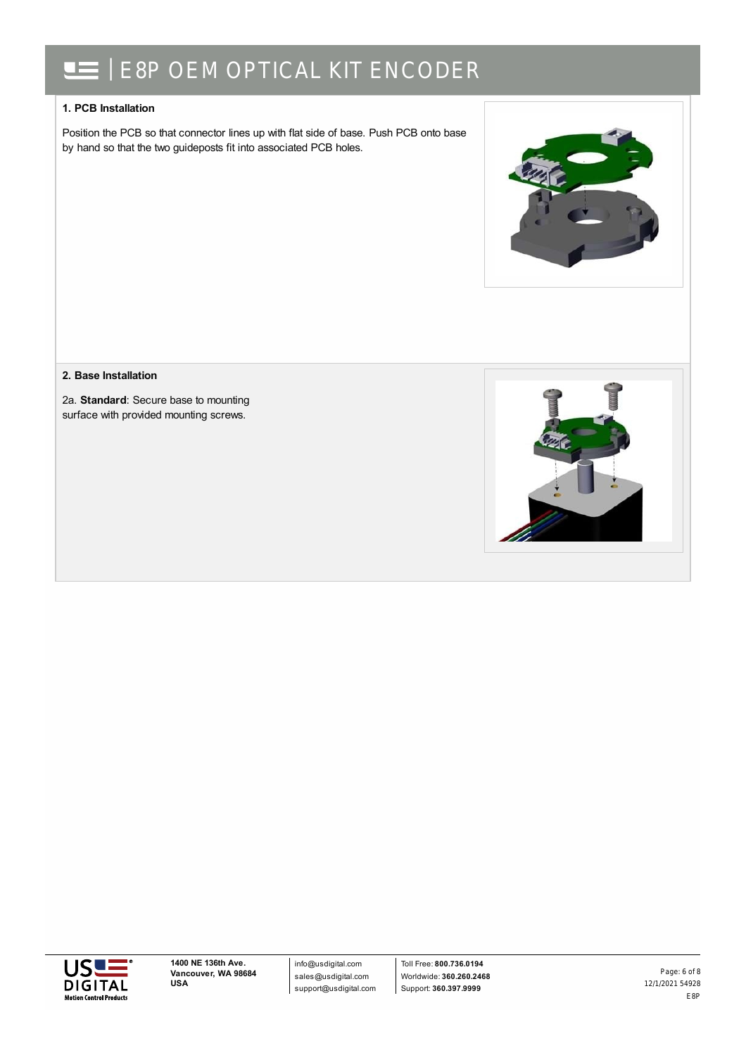### **1. PCB Installation**

Position the PCB so that connector lines up with flat side of base. Push PCB onto base by hand so that the two guideposts fit into associated PCB holes.



#### **2. Base Installation**

2a. **Standard**: Secure base to mounting surface with provided mounting screws.





info@usdigital.com sales@usdigital.com support@usdigital.com

Toll Free: **800.736.0194** Worldwide: **360.260.2468** Support: **360.397.9999**

12/1/2021 54928 E8P Page: 6 of 8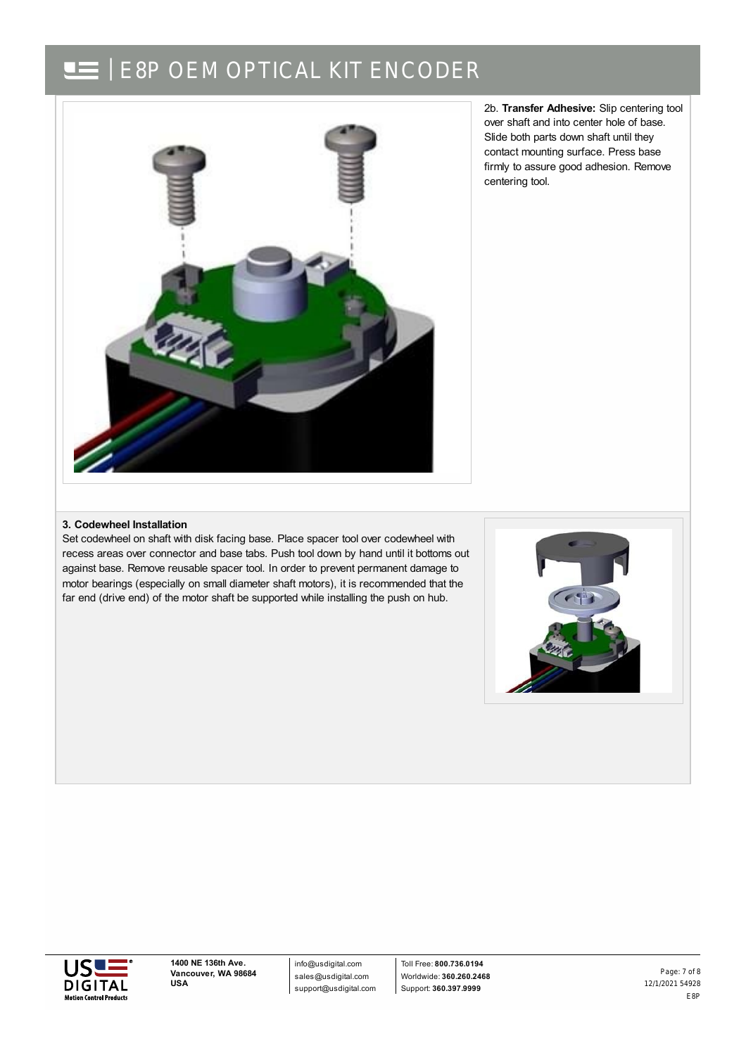

2b. **Transfer Adhesive:** Slip centering tool over shaft and into center hole of base. Slide both parts down shaft until they contact mounting surface. Press base firmly to assure good adhesion. Remove centering tool.

#### **3. Codewheel Installation**

Set codewheel on shaft with disk facing base. Place spacer tool over codewheel with recess areas over connector and base tabs. Push tool down by hand until it bottoms out against base. Remove reusable spacer tool. In order to prevent permanent damage to motor bearings (especially on small diameter shaft motors), it is recommended that the far end (drive end) of the motor shaft be supported while installing the push on hub.





**1400 NE 136th Ave. Vancouver, WA 98684 USA**

info@usdigital.com sales@usdigital.com support@usdigital.com

Toll Free: **800.736.0194** Worldwide: **360.260.2468** Support: **360.397.9999**

12/1/2021 54928 E8P Page: 7 of 8